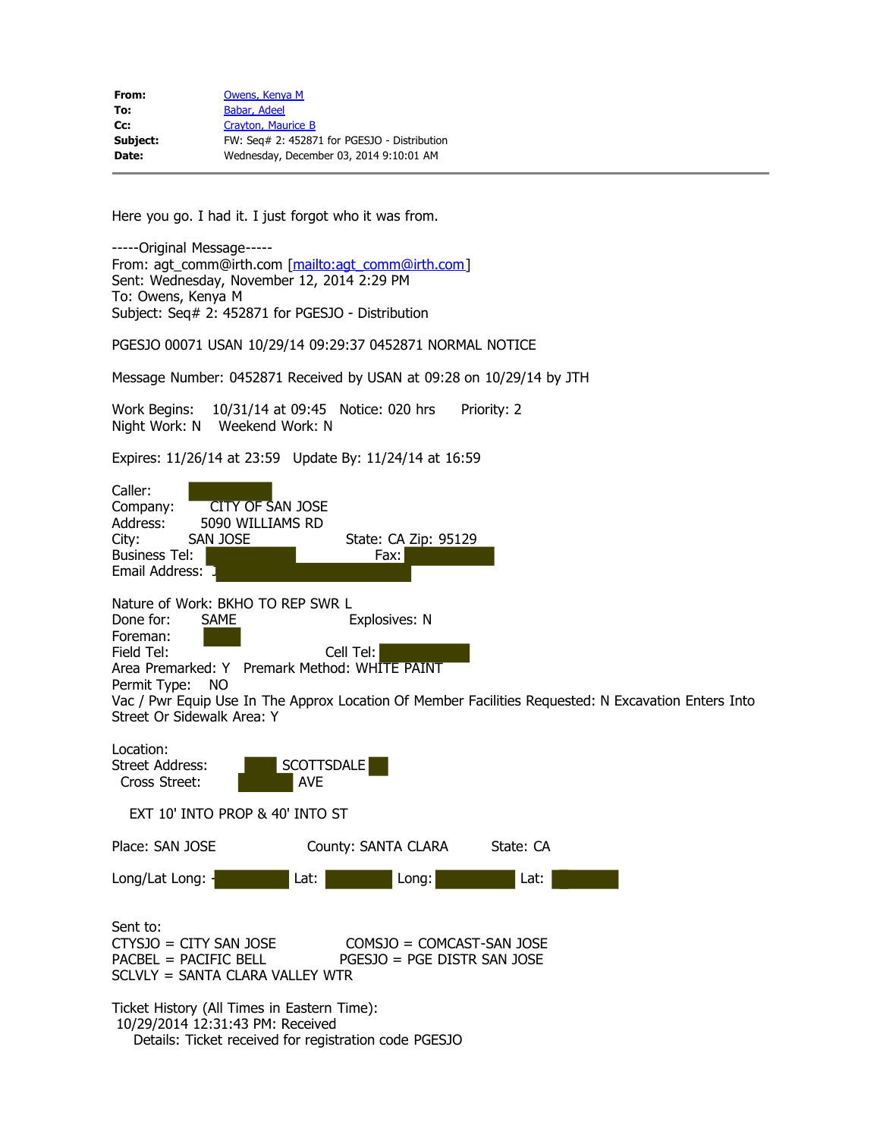Subject: Seq# 2: 452871 for PGESJO - Distribution

PGESJO 00071 USAN 10/29/14 09:29:37 0452871 NORMAL NOTICE

Message Number: 0452871 Received by USAN at 09:28 on 10/29/14 by JTH

Work Begins: 10/31/14 at 09:45 Notice: 020 hrs Priority: 2 Night Work: N Weekend Work: N

Expires: 11/26/14 at 23:59 Update By: 11/24/14 at 16:59

| Caller:<br>Company:<br>CITY OF SAN JOSE<br>Address:<br>5090 WILLIAMS RD<br>City:<br>SAN JOSE<br>State: CA Zip: 95129<br><b>Business Tel:</b><br>Fax:<br>Email Address:                                                                                                                                                             |
|------------------------------------------------------------------------------------------------------------------------------------------------------------------------------------------------------------------------------------------------------------------------------------------------------------------------------------|
| Nature of Work: BKHO TO REP SWR L<br>Done for:<br>Explosives: N<br><b>SAME</b><br>Foreman:<br>Field Tel:<br>Cell Tel:<br>Area Premarked: Y Premark Method: WHITE PAINT<br>Permit Type:<br>NO.<br>Vac / Pwr Equip Use In The Approx Location Of Member Facilities Requested: N Excavation Enters Into<br>Street Or Sidewalk Area: Y |
| Location:<br>SCOTTSDALE<br>Street Address:<br>Cross Street:<br><b>AVE</b>                                                                                                                                                                                                                                                          |
| EXT 10' INTO PROP & 40' INTO ST                                                                                                                                                                                                                                                                                                    |
| Place: SAN JOSE<br>County: SANTA CLARA<br>State: CA                                                                                                                                                                                                                                                                                |
| Long/Lat Long: $\cdot$<br>Lat:<br>Long:<br>Lat:                                                                                                                                                                                                                                                                                    |
| Sent to:<br>$CTYSJO = CITY SAN JOSE$<br>$COMSJO = COMCAST-SAN JOSE$<br>$PACBEL = PACIFIC BEL$<br>PGESJO = PGE DISTR SAN JOSE<br>SCLVLY = SANTA CLARA VALLEY WTR                                                                                                                                                                    |
| Ticket History (All Times in Eastern Time):<br>10/29/2014 12:31:43 PM: Received<br>Details: Ticket received for registration code PGESJO                                                                                                                                                                                           |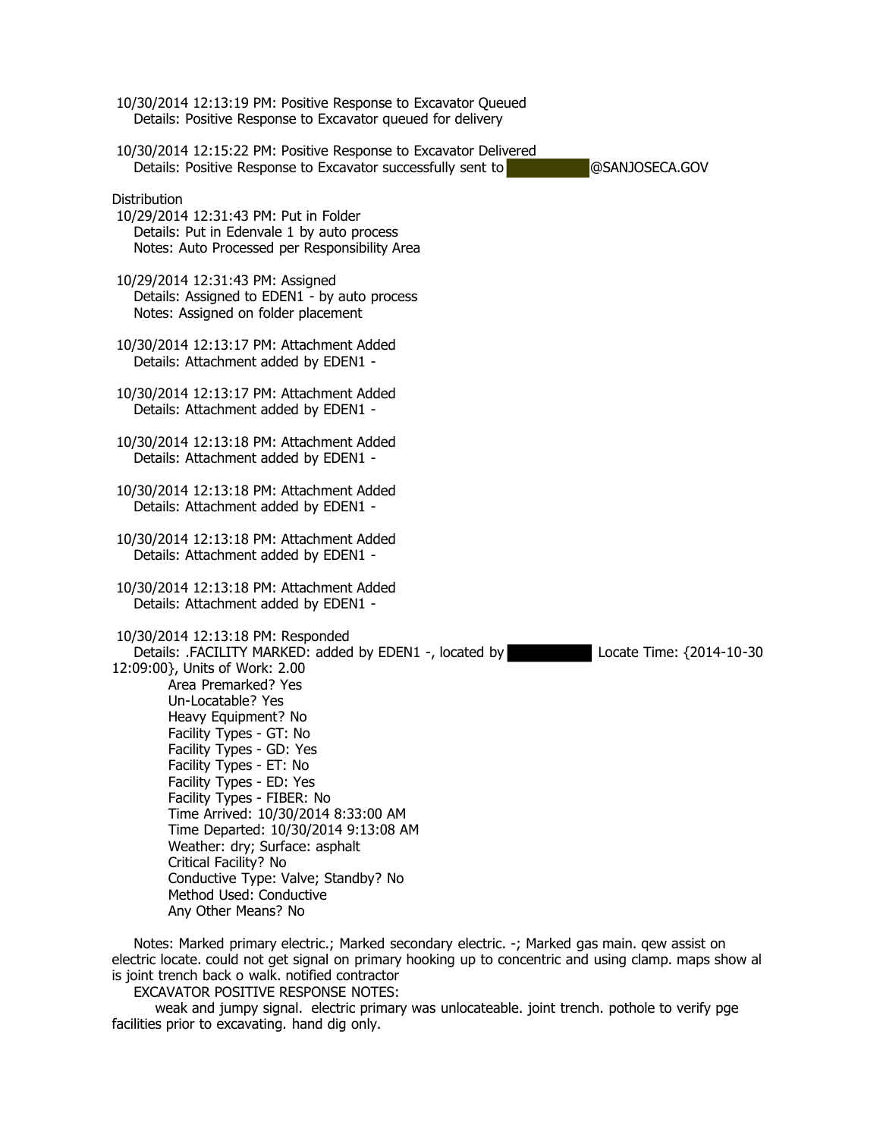| 10/30/2014 12:13:19 PM: Positive Response to Excavator Queued<br>Details: Positive Response to Excavator queued for delivery                                                                                                                                                                                                                                                                                                                                                                                                                                                     |                          |
|----------------------------------------------------------------------------------------------------------------------------------------------------------------------------------------------------------------------------------------------------------------------------------------------------------------------------------------------------------------------------------------------------------------------------------------------------------------------------------------------------------------------------------------------------------------------------------|--------------------------|
| 10/30/2014 12:15:22 PM: Positive Response to Excavator Delivered<br>Details: Positive Response to Excavator successfully sent to                                                                                                                                                                                                                                                                                                                                                                                                                                                 | @SANJOSECA.GOV           |
| Distribution<br>10/29/2014 12:31:43 PM: Put in Folder<br>Details: Put in Edenvale 1 by auto process<br>Notes: Auto Processed per Responsibility Area                                                                                                                                                                                                                                                                                                                                                                                                                             |                          |
| 10/29/2014 12:31:43 PM: Assigned<br>Details: Assigned to EDEN1 - by auto process<br>Notes: Assigned on folder placement                                                                                                                                                                                                                                                                                                                                                                                                                                                          |                          |
| 10/30/2014 12:13:17 PM: Attachment Added<br>Details: Attachment added by EDEN1 -                                                                                                                                                                                                                                                                                                                                                                                                                                                                                                 |                          |
| 10/30/2014 12:13:17 PM: Attachment Added<br>Details: Attachment added by EDEN1 -                                                                                                                                                                                                                                                                                                                                                                                                                                                                                                 |                          |
| 10/30/2014 12:13:18 PM: Attachment Added<br>Details: Attachment added by EDEN1 -                                                                                                                                                                                                                                                                                                                                                                                                                                                                                                 |                          |
| 10/30/2014 12:13:18 PM: Attachment Added<br>Details: Attachment added by EDEN1 -                                                                                                                                                                                                                                                                                                                                                                                                                                                                                                 |                          |
| 10/30/2014 12:13:18 PM: Attachment Added<br>Details: Attachment added by EDEN1 -                                                                                                                                                                                                                                                                                                                                                                                                                                                                                                 |                          |
| 10/30/2014 12:13:18 PM: Attachment Added<br>Details: Attachment added by EDEN1 -                                                                                                                                                                                                                                                                                                                                                                                                                                                                                                 |                          |
| 10/30/2014 12:13:18 PM: Responded<br>Details: .FACILITY MARKED: added by EDEN1 -, located by<br>12:09:00}, Units of Work: 2.00<br>Area Premarked? Yes<br>Un-Locatable? Yes<br>Heavy Equipment? No<br>Facility Types - GT: No<br>Facility Types - GD: Yes<br>Facility Types - ET: No<br>Facility Types - ED: Yes<br>Facility Types - FIBER: No<br>Time Arrived: 10/30/2014 8:33:00 AM<br>Time Departed: 10/30/2014 9:13:08 AM<br>Weather: dry; Surface: asphalt<br>Critical Facility? No<br>Conductive Type: Valve; Standby? No<br>Method Used: Conductive<br>Any Other Means? No | Locate Time: {2014-10-30 |

 Notes: Marked primary electric.; Marked secondary electric. -; Marked gas main. qew assist on electric locate. could not get signal on primary hooking up to concentric and using clamp. maps show al is joint trench back o walk. notified contractor

EXCAVATOR POSITIVE RESPONSE NOTES:

 weak and jumpy signal. electric primary was unlocateable. joint trench. pothole to verify pge facilities prior to excavating. hand dig only.